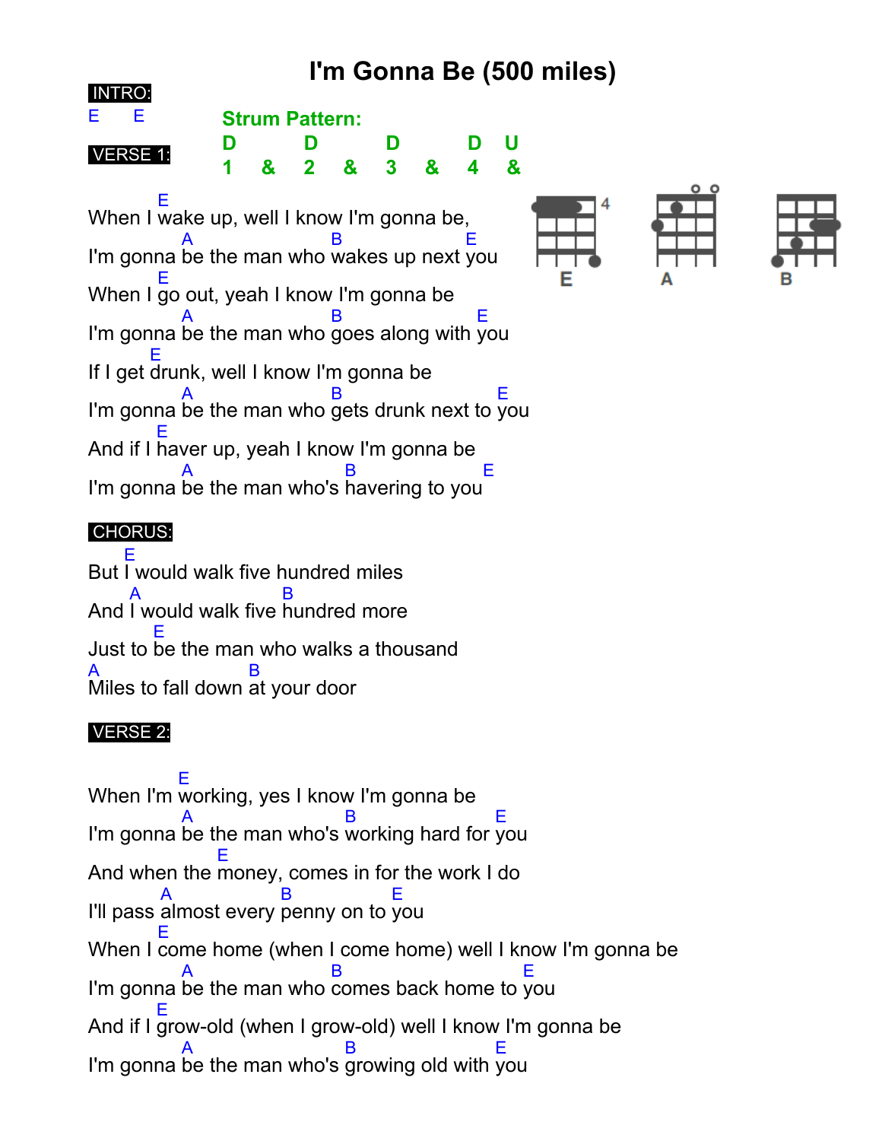# **I'm Gonna Be (500 miles)**



When I E wake up, well I know I'm gonna be, I'm gonna A be the man who B wakes up next E you When I E go out, yeah I know I'm gonna be I'm gonna A be the man who B goes along with E you If I get E drunk, well I know I'm gonna be I'm gonna A be the man who B gets drunk next to E you And if I E haver up, yeah I know I'm gonna be I'm gonna A be the man who's B havering to you E

## CHORUS:

But E I would walk five hundred miles And A I would walk five B hundred more Just to E be the man who walks a thousand A Miles to fall down B at your door

## VERSE 2:

When I'm E working, yes I know I'm gonna be I'm gonna A be the man who's B working hard for E you And when the E money, comes in for the work I do I'll pass A almost every B penny on to E you When I E come home (when I come home) well I know I'm gonna be I'm gonna A be the man who B comes back home to E you And if I E grow-old (when I grow-old) well I know I'm gonna be I'm gonna A be the man who's B growing old with E you

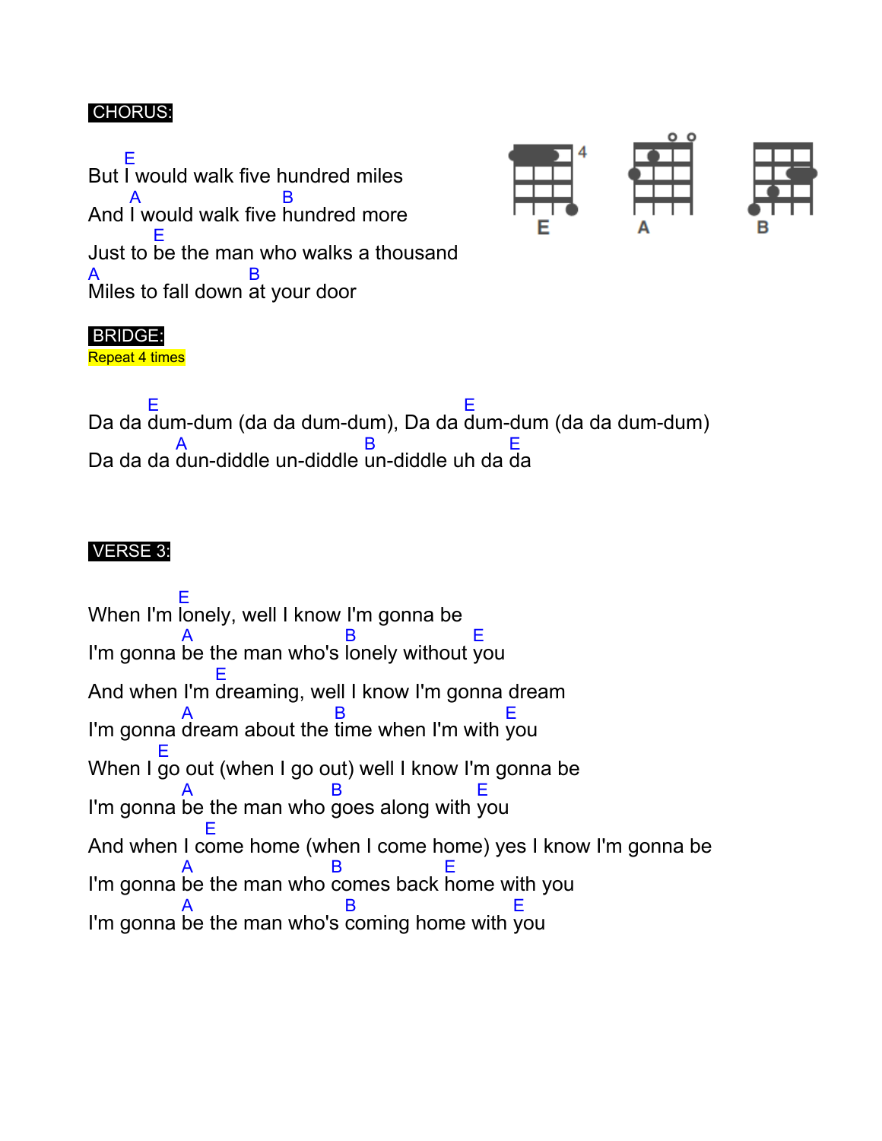#### CHORUS:

But E I would walk five hundred miles And A I would walk five B hundred more Just to E be the man who walks a thousand A Miles to fall down B at your door



#### BRIDGE:

Repeat 4 times

Da da E dum-dum (da da dum-dum), Da da E dum-dum (da da dum-dum) Da da da A dun-diddle un-diddle un-diddle uh da B E da

#### VERSE 3:

When I'm E lonely, well I know I'm gonna be I'm gonna A be the man who's B lonely without E you And when I'm E dreaming, well I know I'm gonna dream I'm gonna A dream about the B time when I'm with E you When I E go out (when I go out) well I know I'm gonna be I'm gonna A be the man who B goes along with E you And when I c E ome home (when I come home) yes I know I'm gonna be I'm gonna A be the man who B comes back E home with you I'm gonna A be the man who's B coming home with E you